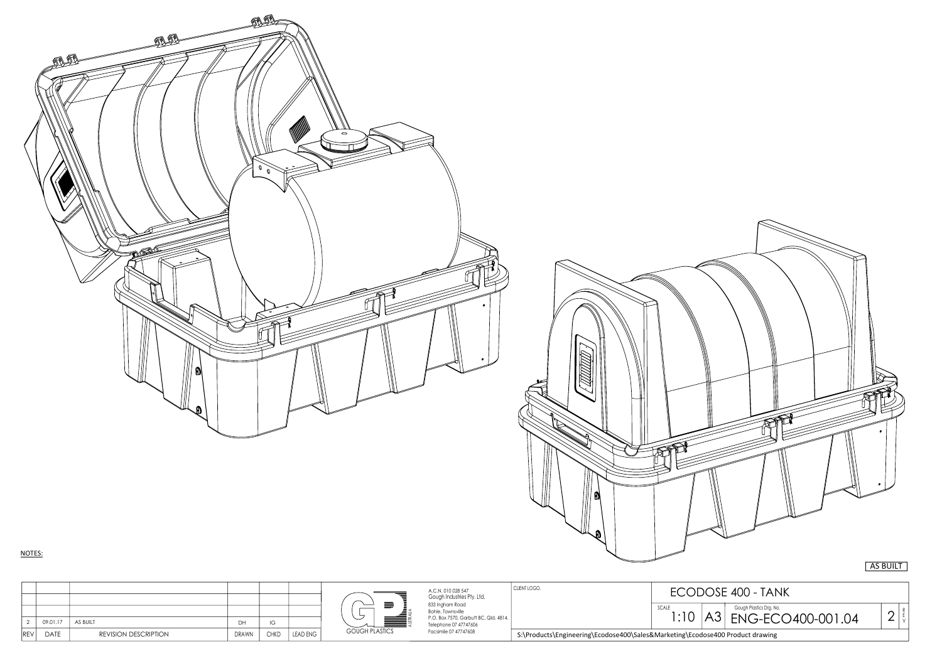|                            |                      |              |             |                 |                          | A.C.N. 010 028 547<br>Gough Industries Pty. Ltd.                                                       | CLIENT LOGO.                                                                  | ECODOSE 400 - TANK |                                                     |  |
|----------------------------|----------------------|--------------|-------------|-----------------|--------------------------|--------------------------------------------------------------------------------------------------------|-------------------------------------------------------------------------------|--------------------|-----------------------------------------------------|--|
| 09.01.17                   | AS BUILT             | <b>DU</b>    |             |                 | $\overline{\phantom{0}}$ | 833 Ingham Road<br>Bohle, Townsville<br>P.O. Box 7570, Garbutt BC, Qld. 4814.<br>Telephone 07 47747606 |                                                                               | SCALE<br> :10      | Gough Plastics Drg. No.<br>ENG-ECO400-001.04<br>NU. |  |
| <b>DATE</b><br><b>REVI</b> | REVISION DESCRIPTION | <b>DRAWN</b> | <b>CHKD</b> | <b>LEAD ENG</b> | <b>GOUGH PLASTICS</b>    | Facsimile 07 47747608                                                                                  | S:\Products\Engineering\Ecodose400\Sales&Marketing\Ecodose400 Product drawing |                    |                                                     |  |



AS BUILT

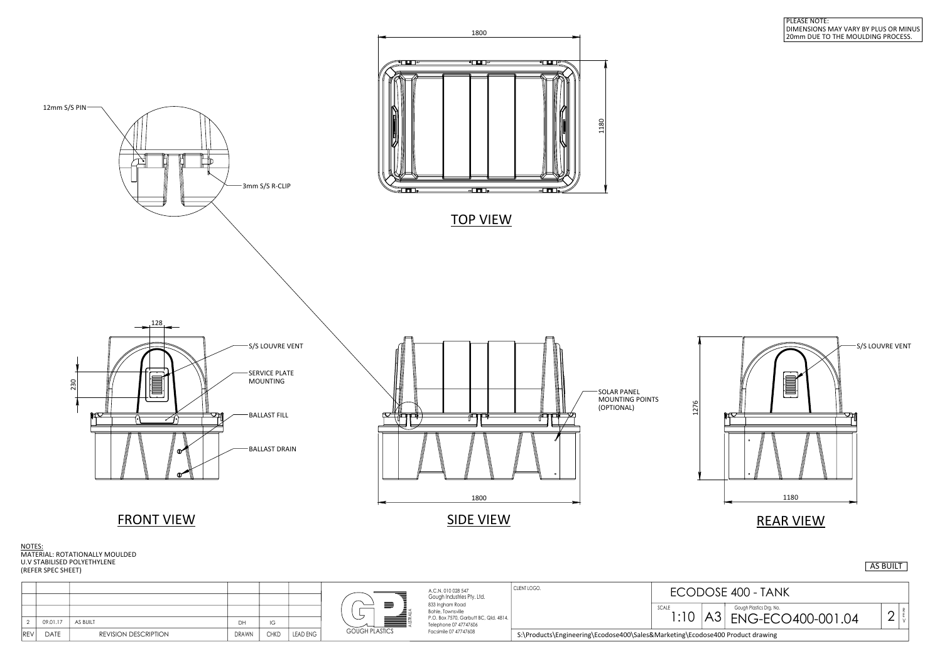



|            |          |                             |              |             |                 |                           | A.C.N. 010 028 547                                             | CLIENT LOGO.<br><b>ECODOSE 400 - TANK</b> |                                                                               |                         |  |
|------------|----------|-----------------------------|--------------|-------------|-----------------|---------------------------|----------------------------------------------------------------|-------------------------------------------|-------------------------------------------------------------------------------|-------------------------|--|
|            |          |                             |              |             |                 |                           | Gough Industries Pty. Ltd.                                     |                                           |                                                                               |                         |  |
|            |          |                             |              |             |                 |                           | 833 Ingham Road<br>Bohle, Townsville                           | SCALE<br>$\cdot$ 10                       |                                                                               | Gough Plastics Drg. No. |  |
|            | 09.01.17 | AS BUILT                    |              |             |                 | $\widetilde{\phantom{a}}$ | P.O. Box 7570, Garbutt BC, Qld. 4814.<br>Telephone 07 47747606 |                                           | AJ                                                                            | ENG-ECO400-001.04       |  |
| <b>REV</b> | DATE     | <b>REVISION DESCRIPTION</b> | <b>DRAWN</b> | <b>CHKD</b> | <b>LEAD ENG</b> | <b>GOUGH PLASTICS</b>     | Facsimile 07 47747608                                          |                                           | S:\Products\Engineering\Ecodose400\Sales&Marketing\Ecodose400 Product drawing |                         |  |

## PLEASE NOTE: DIMENSIONS MAY VARY BY PLUS OR MINUS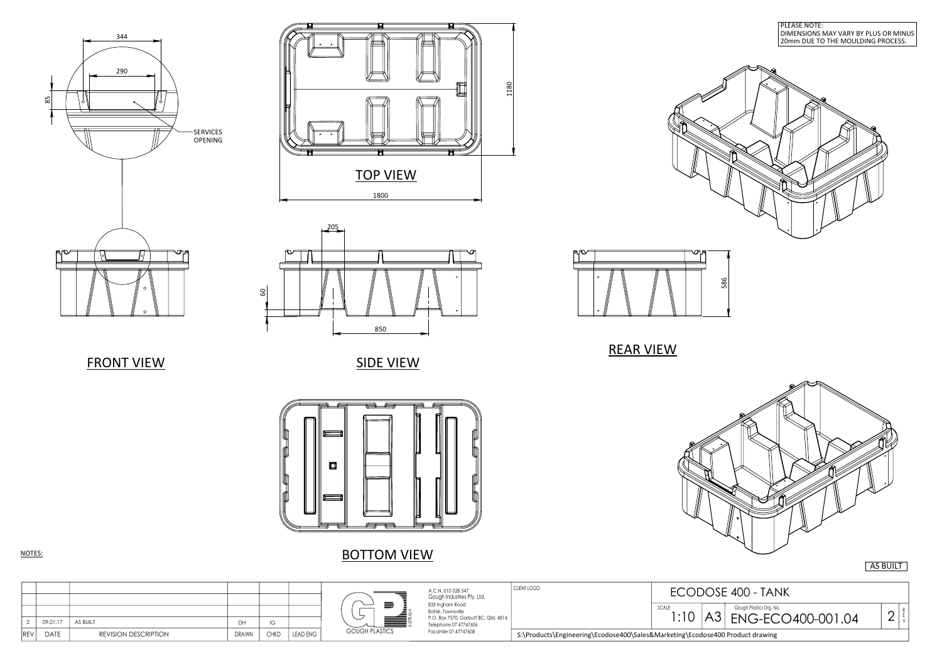ECODOSE 400 - TANK R E V SCALE 1:10 A3 ENG-EC  $|A3$ 



850

205

|ချွ

൛

 $\begin{array}{ccc} \overline{a} & \overline{a} & \overline{a} \end{array}$ 口

SIDE VIEW



BOTTOM VIEW



**FRONT VIEW** 



NOTES: